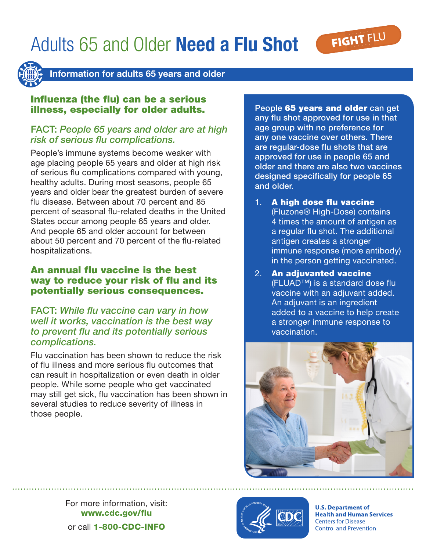# Adults 65 and Older Need a Flu Shot





Information for adults 65 years and older

## Influenza (the flu) can be a serious illness, especially for older adults.

# FACT: *People 65 years and older are at high risk of serious flu complications.*

People's immune systems become weaker with age placing people 65 years and older at high risk of serious flu complications compared with young, healthy adults. During most seasons, people 65 years and older bear the greatest burden of severe flu disease. Between about 70 percent and 85 percent of seasonal flu-related deaths in the United States occur among people 65 years and older. And people 65 and older account for between about 50 percent and 70 percent of the flu-related hospitalizations.

# An annual flu vaccine is the best way to reduce your risk of flu and its potentially serious consequences.

### FACT: *While flu vaccine can vary in how well it works, vaccination is the best way to prevent flu and its potentially serious complications.*

Flu vaccination has been shown to reduce the risk of flu illness and more serious flu outcomes that can result in hospitalization or even death in older people. While some people who get vaccinated may still get sick, flu vaccination has been shown in several studies to reduce severity of illness in those people.

People 65 years and older can get any flu shot approved for use in that age group with no preference for any one vaccine over others. There are regular-dose flu shots that are approved for use in people 65 and older and there are also two vaccines designed specifically for people 65 and older.

- 1. A high dose flu vaccine (Fluzone® High-Dose) contains 4 times the amount of antigen as a regular flu shot. The additional antigen creates a stronger immune response (more antibody) in the person getting vaccinated.
- 2. An adjuvanted vaccine (FLUAD™) is a standard dose flu vaccine with an adjuvant added. An adjuvant is an ingredient added to a vaccine to help create a stronger immune response to vaccination.



For more information, visit: www.cdc.gov/flu or call 1-800-CDC-INFO



**U.S. Department of Health and Human Services Centers for Disease Control and Prevention**